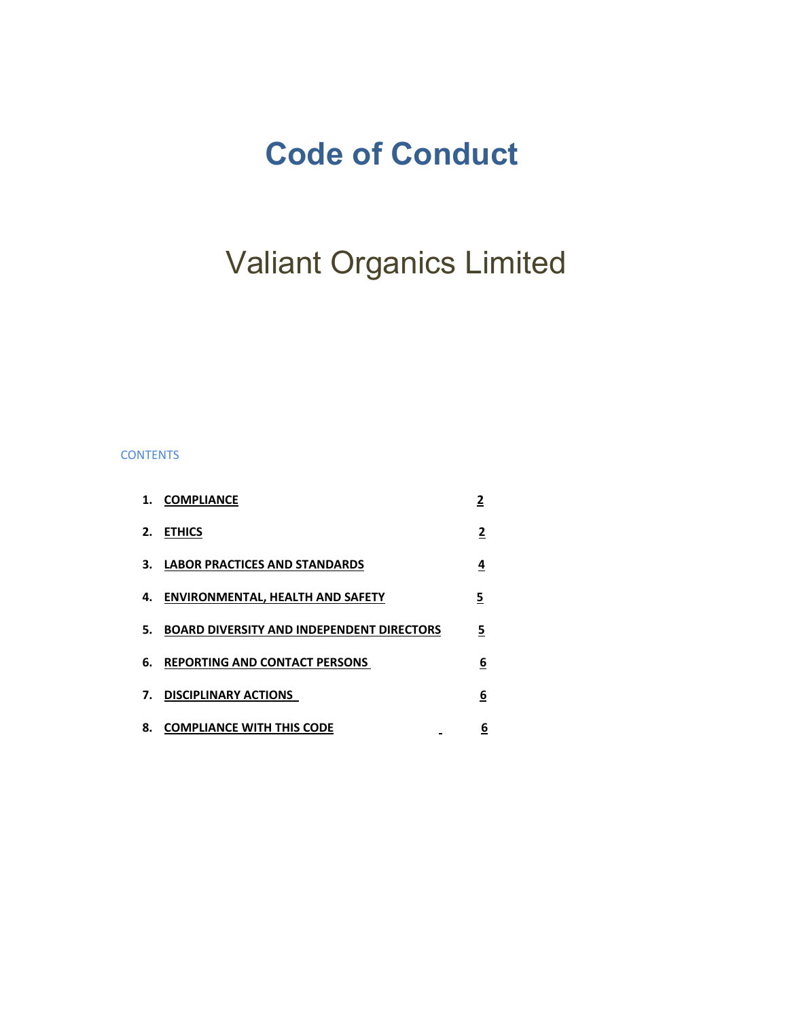## **Code of Conduct**

# Valiant Organics Limited

## **CONTENTS**

|    | 1. COMPLIANCE                                    | <u>2</u> |
|----|--------------------------------------------------|----------|
| 2. | <b>ETHICS</b>                                    | <u>2</u> |
|    | 3. LABOR PRACTICES AND STANDARDS                 | 4        |
|    | 4. ENVIRONMENTAL, HEALTH AND SAFETY              | 5        |
| 5. | <b>BOARD DIVERSITY AND INDEPENDENT DIRECTORS</b> | 5        |
|    | 6. REPORTING AND CONTACT PERSONS                 | 6        |
| 7. | <b>DISCIPLINARY ACTIONS</b>                      | 6        |
| 8. | <b>COMPLIANCE WITH THIS CODE</b>                 | <u>6</u> |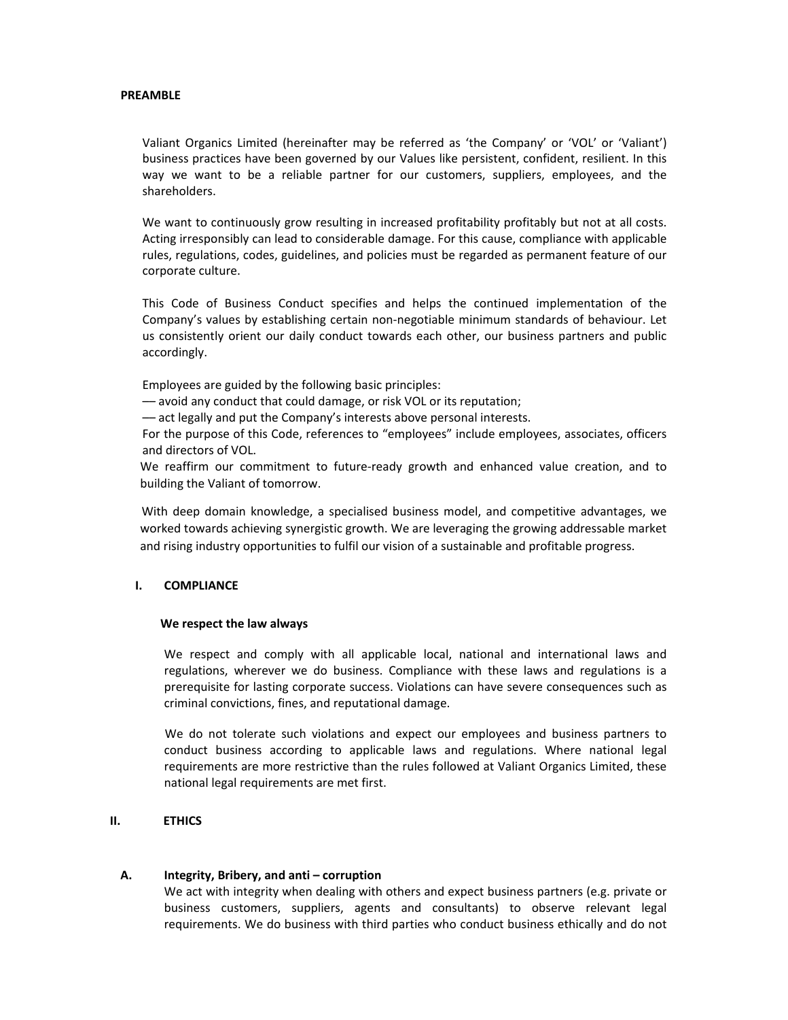#### **PREAMBLE**

Valiant Organics Limited (hereinafter may be referred as 'the Company' or 'VOL' or 'Valiant') business practices have been governed by our Values like persistent, confident, resilient. In this way we want to be a reliable partner for our customers, suppliers, employees, and the shareholders.

We want to continuously grow resulting in increased profitability profitably but not at all costs. Acting irresponsibly can lead to considerable damage. For this cause, compliance with applicable rules, regulations, codes, guidelines, and policies must be regarded as permanent feature of our corporate culture.

This Code of Business Conduct specifies and helps the continued implementation of the Company's values by establishing certain non‐negotiable minimum standards of behaviour. Let us consistently orient our daily conduct towards each other, our business partners and public accordingly.

Employees are guided by the following basic principles:

–– avoid any conduct that could damage, or risk VOL or its reputation;

–– act legally and put the Company's interests above personal interests.

For the purpose of this Code, references to "employees" include employees, associates, officers and directors of VOL.

We reaffirm our commitment to future-ready growth and enhanced value creation, and to building the Valiant of tomorrow.

With deep domain knowledge, a specialised business model, and competitive advantages, we worked towards achieving synergistic growth. We are leveraging the growing addressable market and rising industry opportunities to fulfil our vision of a sustainable and profitable progress.

#### **I. COMPLIANCE**

#### **We respect the law always**

We respect and comply with all applicable local, national and international laws and regulations, wherever we do business. Compliance with these laws and regulations is a prerequisite for lasting corporate success. Violations can have severe consequences such as criminal convictions, fines, and reputational damage.

We do not tolerate such violations and expect our employees and business partners to conduct business according to applicable laws and regulations. Where national legal requirements are more restrictive than the rules followed at Valiant Organics Limited, these national legal requirements are met first.

## **II. ETHICS**

#### **A. Integrity, Bribery, and anti – corruption**

We act with integrity when dealing with others and expect business partners (e.g. private or business customers, suppliers, agents and consultants) to observe relevant legal requirements. We do business with third parties who conduct business ethically and do not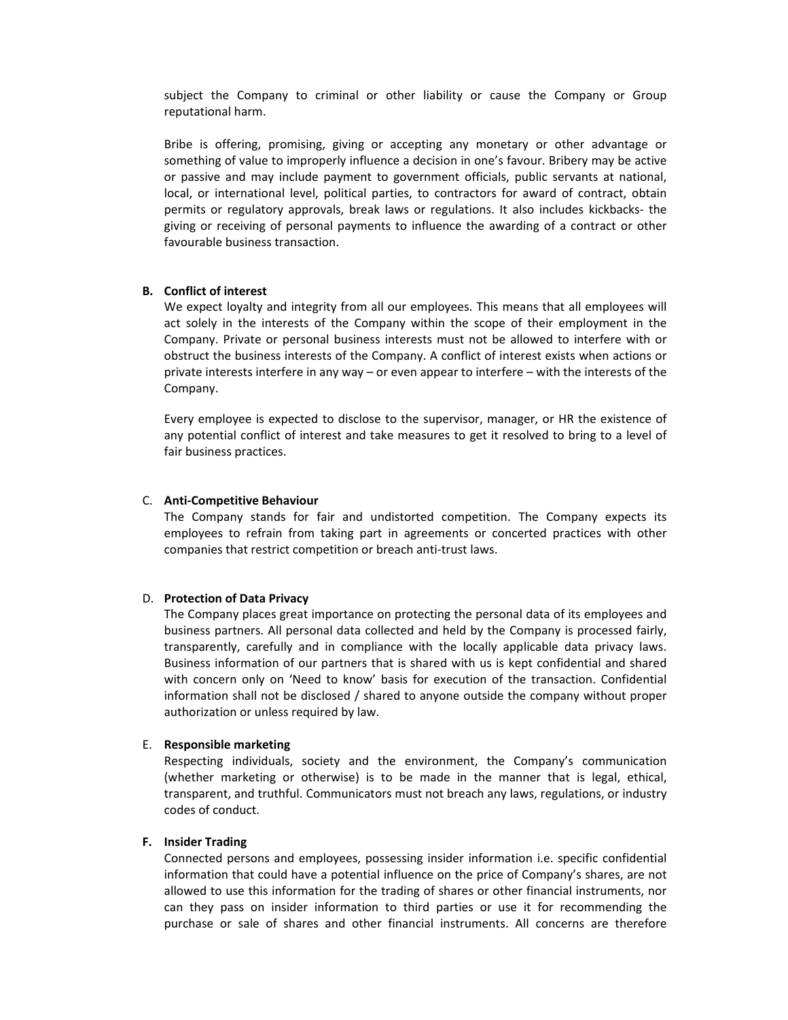subject the Company to criminal or other liability or cause the Company or Group reputational harm.

Bribe is offering, promising, giving or accepting any monetary or other advantage or something of value to improperly influence a decision in one's favour. Bribery may be active or passive and may include payment to government officials, public servants at national, local, or international level, political parties, to contractors for award of contract, obtain permits or regulatory approvals, break laws or regulations. It also includes kickbacks‐ the giving or receiving of personal payments to influence the awarding of a contract or other favourable business transaction.

## **B. Conflict of interest**

We expect loyalty and integrity from all our employees. This means that all employees will act solely in the interests of the Company within the scope of their employment in the Company. Private or personal business interests must not be allowed to interfere with or obstruct the business interests of the Company. A conflict of interest exists when actions or private interests interfere in any way – or even appear to interfere – with the interests of the Company.

Every employee is expected to disclose to the supervisor, manager, or HR the existence of any potential conflict of interest and take measures to get it resolved to bring to a level of fair business practices.

#### C. **Anti‐Competitive Behaviour**

The Company stands for fair and undistorted competition. The Company expects its employees to refrain from taking part in agreements or concerted practices with other companies that restrict competition or breach anti‐trust laws.

## D. **Protection of Data Privacy**

The Company places great importance on protecting the personal data of its employees and business partners. All personal data collected and held by the Company is processed fairly, transparently, carefully and in compliance with the locally applicable data privacy laws. Business information of our partners that is shared with us is kept confidential and shared with concern only on 'Need to know' basis for execution of the transaction. Confidential information shall not be disclosed / shared to anyone outside the company without proper authorization or unless required by law.

## E. **Responsible marketing**

Respecting individuals, society and the environment, the Company's communication (whether marketing or otherwise) is to be made in the manner that is legal, ethical, transparent, and truthful. Communicators must not breach any laws, regulations, or industry codes of conduct.

## **F. Insider Trading**

Connected persons and employees, possessing insider information i.e. specific confidential information that could have a potential influence on the price of Company's shares, are not allowed to use this information for the trading of shares or other financial instruments, nor can they pass on insider information to third parties or use it for recommending the purchase or sale of shares and other financial instruments. All concerns are therefore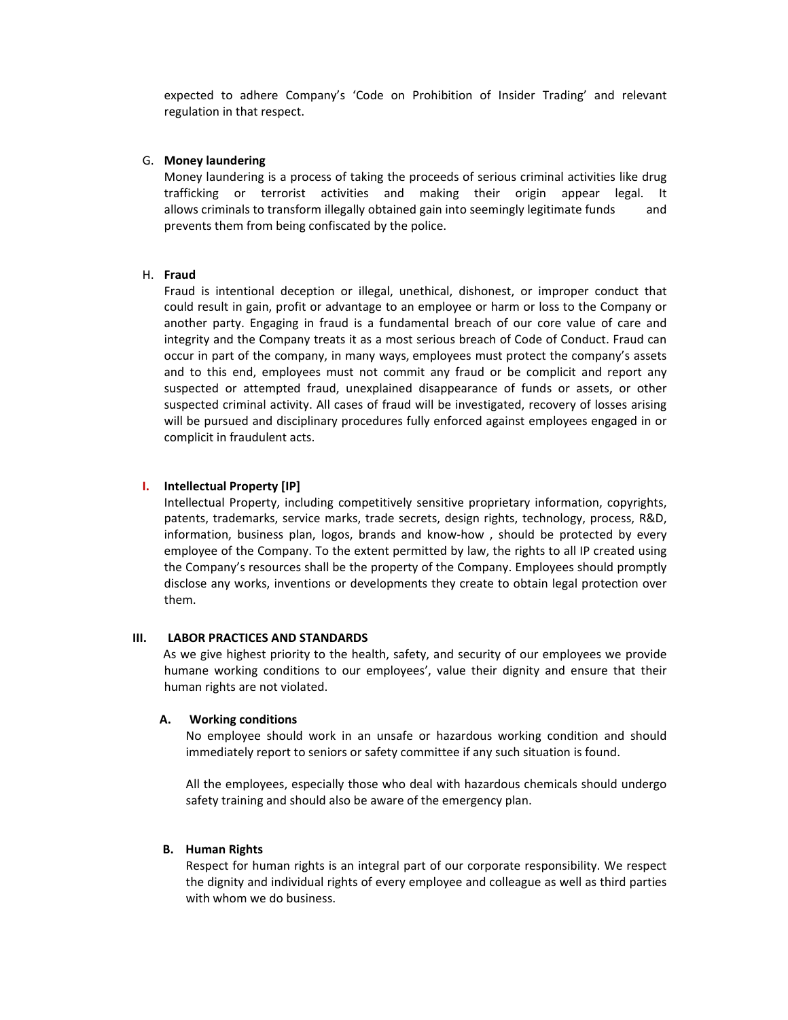expected to adhere Company's 'Code on Prohibition of Insider Trading' and relevant regulation in that respect.

#### G. **Money laundering**

Money laundering is a process of taking the proceeds of serious criminal activities like drug trafficking or terrorist activities and making their origin appear legal. It allows criminals to transform illegally obtained gain into seemingly legitimate funds and prevents them from being confiscated by the police.

## H. **Fraud**

Fraud is intentional deception or illegal, unethical, dishonest, or improper conduct that could result in gain, profit or advantage to an employee or harm or loss to the Company or another party. Engaging in fraud is a fundamental breach of our core value of care and integrity and the Company treats it as a most serious breach of Code of Conduct. Fraud can occur in part of the company, in many ways, employees must protect the company's assets and to this end, employees must not commit any fraud or be complicit and report any suspected or attempted fraud, unexplained disappearance of funds or assets, or other suspected criminal activity. All cases of fraud will be investigated, recovery of losses arising will be pursued and disciplinary procedures fully enforced against employees engaged in or complicit in fraudulent acts.

## **I. Intellectual Property [IP]**

Intellectual Property, including competitively sensitive proprietary information, copyrights, patents, trademarks, service marks, trade secrets, design rights, technology, process, R&D, information, business plan, logos, brands and know-how, should be protected by every employee of the Company. To the extent permitted by law, the rights to all IP created using the Company's resources shall be the property of the Company. Employees should promptly disclose any works, inventions or developments they create to obtain legal protection over them.

### **III. LABOR PRACTICES AND STANDARDS**

 As we give highest priority to the health, safety, and security of our employees we provide humane working conditions to our employees', value their dignity and ensure that their human rights are not violated.

#### **A. Working conditions**

No employee should work in an unsafe or hazardous working condition and should immediately report to seniors or safety committee if any such situation is found.

All the employees, especially those who deal with hazardous chemicals should undergo safety training and should also be aware of the emergency plan.

#### **B. Human Rights**

Respect for human rights is an integral part of our corporate responsibility. We respect the dignity and individual rights of every employee and colleague as well as third parties with whom we do business.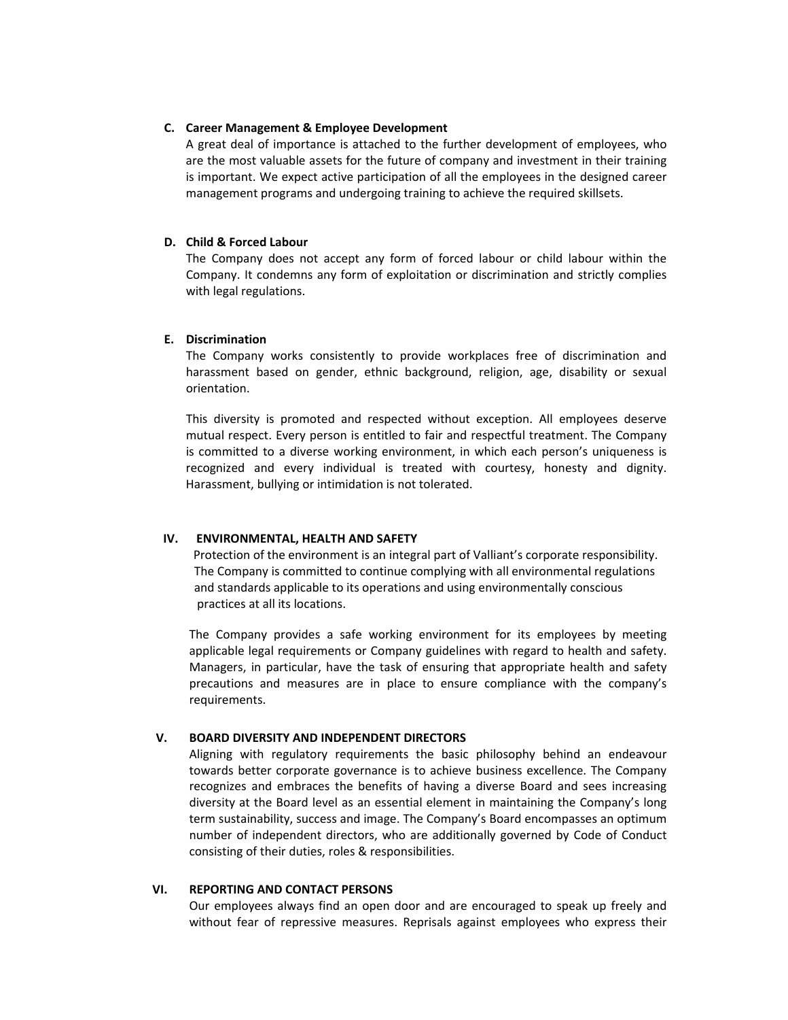## **C. Career Management & Employee Development**

A great deal of importance is attached to the further development of employees, who are the most valuable assets for the future of company and investment in their training is important. We expect active participation of all the employees in the designed career management programs and undergoing training to achieve the required skillsets.

## **D. Child & Forced Labour**

The Company does not accept any form of forced labour or child labour within the Company. It condemns any form of exploitation or discrimination and strictly complies with legal regulations.

## **E. Discrimination**

The Company works consistently to provide workplaces free of discrimination and harassment based on gender, ethnic background, religion, age, disability or sexual orientation.

This diversity is promoted and respected without exception. All employees deserve mutual respect. Every person is entitled to fair and respectful treatment. The Company is committed to a diverse working environment, in which each person's uniqueness is recognized and every individual is treated with courtesy, honesty and dignity. Harassment, bullying or intimidation is not tolerated.

#### **IV. ENVIRONMENTAL, HEALTH AND SAFETY**

 Protection of the environment is an integral part of Valliant's corporate responsibility. The Company is committed to continue complying with all environmental regulations and standards applicable to its operations and using environmentally conscious practices at all its locations.

The Company provides a safe working environment for its employees by meeting applicable legal requirements or Company guidelines with regard to health and safety. Managers, in particular, have the task of ensuring that appropriate health and safety precautions and measures are in place to ensure compliance with the company's requirements.

## **V. BOARD DIVERSITY AND INDEPENDENT DIRECTORS**

Aligning with regulatory requirements the basic philosophy behind an endeavour towards better corporate governance is to achieve business excellence. The Company recognizes and embraces the benefits of having a diverse Board and sees increasing diversity at the Board level as an essential element in maintaining the Company's long term sustainability, success and image. The Company's Board encompasses an optimum number of independent directors, who are additionally governed by Code of Conduct consisting of their duties, roles & responsibilities.

#### **VI. REPORTING AND CONTACT PERSONS**

Our employees always find an open door and are encouraged to speak up freely and without fear of repressive measures. Reprisals against employees who express their